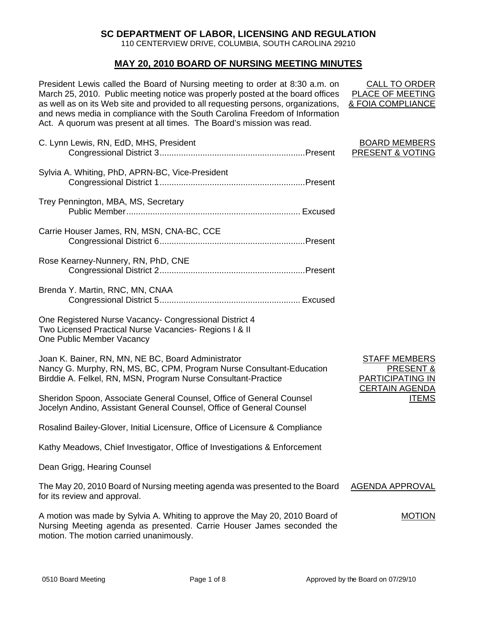# **SC DEPARTMENT OF LABOR, LICENSING AND REGULATION**

110 CENTERVIEW DRIVE, COLUMBIA, SOUTH CAROLINA 29210

# **MAY 20, 2010 BOARD OF NURSING MEETING MINUTES**

President Lewis called the Board of Nursing meeting to order at 8:30 a.m. on March 25, 2010. Public meeting notice was properly posted at the board offices as well as on its Web site and provided to all requesting persons, organizations, and news media in compliance with the South Carolina Freedom of Information Act. A quorum was present at all times. The Board's mission was read.

| C. Lynn Lewis, RN, EdD, MHS, President                                                                                                                                                      | <b>BOARD MEMBERS</b><br>PRESENT & VOTING                                              |
|---------------------------------------------------------------------------------------------------------------------------------------------------------------------------------------------|---------------------------------------------------------------------------------------|
| Sylvia A. Whiting, PhD, APRN-BC, Vice-President                                                                                                                                             |                                                                                       |
| Trey Pennington, MBA, MS, Secretary                                                                                                                                                         |                                                                                       |
| Carrie Houser James, RN, MSN, CNA-BC, CCE                                                                                                                                                   |                                                                                       |
| Rose Kearney-Nunnery, RN, PhD, CNE                                                                                                                                                          |                                                                                       |
| Brenda Y. Martin, RNC, MN, CNAA                                                                                                                                                             |                                                                                       |
| One Registered Nurse Vacancy- Congressional District 4<br>Two Licensed Practical Nurse Vacancies- Regions I & II<br>One Public Member Vacancy                                               |                                                                                       |
| Joan K. Bainer, RN, MN, NE BC, Board Administrator<br>Nancy G. Murphy, RN, MS, BC, CPM, Program Nurse Consultant-Education<br>Birddie A. Felkel, RN, MSN, Program Nurse Consultant-Practice | <b>STAFF MEMBERS</b><br>PRESENT &<br><b>PARTICIPATING IN</b><br><b>CERTAIN AGENDA</b> |
| Sheridon Spoon, Associate General Counsel, Office of General Counsel<br>Jocelyn Andino, Assistant General Counsel, Office of General Counsel                                                | <b>ITEMS</b>                                                                          |
| Rosalind Bailey-Glover, Initial Licensure, Office of Licensure & Compliance                                                                                                                 |                                                                                       |
| Kathy Meadows, Chief Investigator, Office of Investigations & Enforcement                                                                                                                   |                                                                                       |
| Dean Grigg, Hearing Counsel                                                                                                                                                                 |                                                                                       |
|                                                                                                                                                                                             |                                                                                       |

CALL TO ORDER PLACE OF MEETING & FOIA COMPLIANCE

| "<br>LE V<br>I I EMD |
|----------------------|
|                      |

The May 20, 2010 Board of Nursing meeting agenda was presented to the Board for its review and approval. AGENDA APPROVAL

A motion was made by Sylvia A. Whiting to approve the May 20, 2010 Board of Nursing Meeting agenda as presented. Carrie Houser James seconded the motion. The motion carried unanimously. MOTION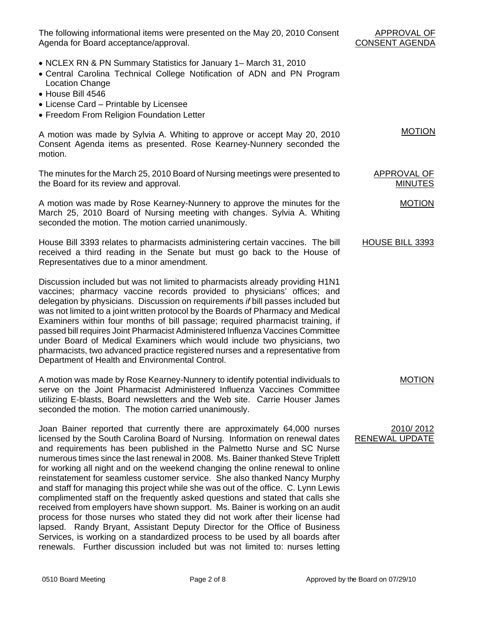The following informational items were presented on the May 20, 2010 Consent Agenda for Board acceptance/approval.

- APPROVAL OF CONSENT AGENDA
- NCLEX RN & PN Summary Statistics for January 1– March 31, 2010
- Central Carolina Technical College Notification of ADN and PN Program Location Change
- House Bill 4546
- License Card Printable by Licensee
- Freedom From Religion Foundation Letter

A motion was made by Sylvia A. Whiting to approve or accept May 20, 2010 Consent Agenda items as presented. Rose Kearney-Nunnery seconded the motion.

The minutes for the March 25, 2010 Board of Nursing meetings were presented to the Board for its review and approval.

A motion was made by Rose Kearney-Nunnery to approve the minutes for the March 25, 2010 Board of Nursing meeting with changes. Sylvia A. Whiting seconded the motion. The motion carried unanimously.

House Bill 3393 relates to pharmacists administering certain vaccines. The bill received a third reading in the Senate but must go back to the House of Representatives due to a minor amendment.

Discussion included but was not limited to pharmacists already providing H1N1 vaccines; pharmacy vaccine records provided to physicians' offices; and delegation by physicians. Discussion on requirements *if* bill passes included but was not limited to a joint written protocol by the Boards of Pharmacy and Medical Examiners within four months of bill passage; required pharmacist training, if passed bill requires Joint Pharmacist Administered Influenza Vaccines Committee under Board of Medical Examiners which would include two physicians, two pharmacists, two advanced practice registered nurses and a representative from Department of Health and Environmental Control.

A motion was made by Rose Kearney-Nunnery to identify potential individuals to serve on the Joint Pharmacist Administered Influenza Vaccines Committee utilizing E-blasts, Board newsletters and the Web site. Carrie Houser James seconded the motion. The motion carried unanimously.

Joan Bainer reported that currently there are approximately 64,000 nurses licensed by the South Carolina Board of Nursing. Information on renewal dates and requirements has been published in the Palmetto Nurse and SC Nurse numerous times since the last renewal in 2008. Ms. Bainer thanked Steve Triplett for working all night and on the weekend changing the online renewal to online reinstatement for seamless customer service. She also thanked Nancy Murphy and staff for managing this project while she was out of the office. C. Lynn Lewis complimented staff on the frequently asked questions and stated that calls she received from employers have shown support. Ms. Bainer is working on an audit process for those nurses who stated they did not work after their license had lapsed. Randy Bryant, Assistant Deputy Director for the Office of Business Services, is working on a standardized process to be used by all boards after renewals. Further discussion included but was not limited to: nurses letting

MOTION

APPROVAL OF MINUTES

MOTION

#### HOUSE BILL 3393

MOTION

#### 2010/ 2012 RENEWAL UPDATE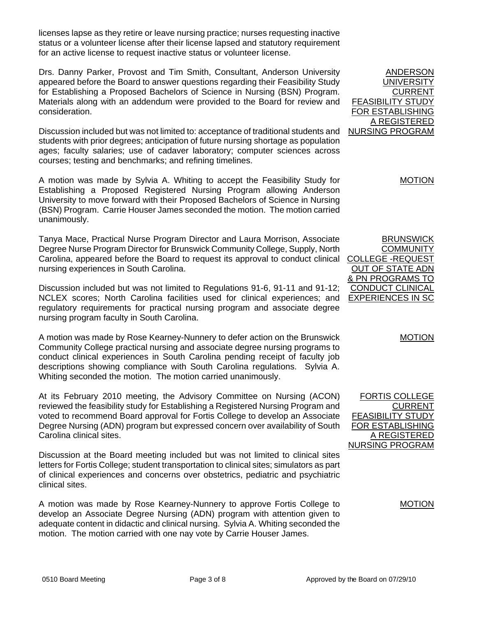licenses lapse as they retire or leave nursing practice; nurses requesting inactive status or a volunteer license after their license lapsed and statutory requirement for an active license to request inactive status or volunteer license.

Drs. Danny Parker, Provost and Tim Smith, Consultant, Anderson University appeared before the Board to answer questions regarding their Feasibility Study for Establishing a Proposed Bachelors of Science in Nursing (BSN) Program. Materials along with an addendum were provided to the Board for review and consideration.

Discussion included but was not limited to: acceptance of traditional students and students with prior degrees; anticipation of future nursing shortage as population ages; faculty salaries; use of cadaver laboratory; computer sciences across courses; testing and benchmarks; and refining timelines.

A motion was made by Sylvia A. Whiting to accept the Feasibility Study for Establishing a Proposed Registered Nursing Program allowing Anderson University to move forward with their Proposed Bachelors of Science in Nursing (BSN) Program. Carrie Houser James seconded the motion. The motion carried unanimously.

Tanya Mace, Practical Nurse Program Director and Laura Morrison, Associate Degree Nurse Program Director for Brunswick Community College, Supply, North Carolina, appeared before the Board to request its approval to conduct clinical nursing experiences in South Carolina.

Discussion included but was not limited to Regulations 91-6, 91-11 and 91-12; NCLEX scores; North Carolina facilities used for clinical experiences; and regulatory requirements for practical nursing program and associate degree nursing program faculty in South Carolina.

A motion was made by Rose Kearney-Nunnery to defer action on the Brunswick Community College practical nursing and associate degree nursing programs to conduct clinical experiences in South Carolina pending receipt of faculty job descriptions showing compliance with South Carolina regulations. Sylvia A. Whiting seconded the motion. The motion carried unanimously.

At its February 2010 meeting, the Advisory Committee on Nursing (ACON) reviewed the feasibility study for Establishing a Registered Nursing Program and voted to recommend Board approval for Fortis College to develop an Associate Degree Nursing (ADN) program but expressed concern over availability of South Carolina clinical sites.

Discussion at the Board meeting included but was not limited to clinical sites letters for Fortis College; student transportation to clinical sites; simulators as part of clinical experiences and concerns over obstetrics, pediatric and psychiatric clinical sites.

A motion was made by Rose Kearney-Nunnery to approve Fortis College to develop an Associate Degree Nursing (ADN) program with attention given to adequate content in didactic and clinical nursing. Sylvia A. Whiting seconded the motion. The motion carried with one nay vote by Carrie Houser James.

ANDERSON UNIVERSITY CURRENT FEASIBILITY STUDY FOR ESTABLISHING A REGISTERED NURSING PROGRAM

MOTION

BRUNSWICK **COMMUNITY** COLLEGE -REQUEST OUT OF STATE ADN & PN PROGRAMS TO CONDUCT CLINICAL EXPERIENCES IN SC

MOTION

FORTIS COLLEGE CURRENT FEASIBILITY STUDY FOR ESTABLISHING A REGISTERED NURSING PROGRAM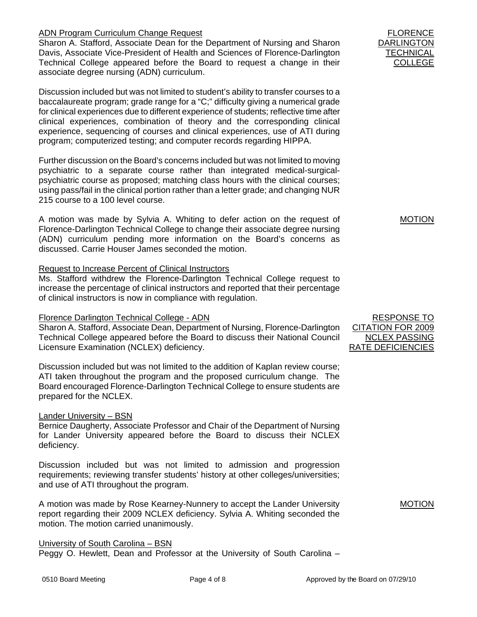## ADN Program Curriculum Change Request

Sharon A. Stafford, Associate Dean for the Department of Nursing and Sharon Davis, Associate Vice-President of Health and Sciences of Florence-Darlington Technical College appeared before the Board to request a change in their associate degree nursing (ADN) curriculum.

Discussion included but was not limited to student's ability to transfer courses to a baccalaureate program; grade range for a "C;" difficulty giving a numerical grade for clinical experiences due to different experience of students; reflective time after clinical experiences, combination of theory and the corresponding clinical experience, sequencing of courses and clinical experiences, use of ATI during program; computerized testing; and computer records regarding HIPPA.

Further discussion on the Board's concerns included but was not limited to moving psychiatric to a separate course rather than integrated medical-surgicalpsychiatric course as proposed; matching class hours with the clinical courses; using pass/fail in the clinical portion rather than a letter grade; and changing NUR 215 course to a 100 level course.

A motion was made by Sylvia A. Whiting to defer action on the request of Florence-Darlington Technical College to change their associate degree nursing (ADN) curriculum pending more information on the Board's concerns as discussed. Carrie Houser James seconded the motion.

## Request to Increase Percent of Clinical Instructors

Ms. Stafford withdrew the Florence-Darlington Technical College request to increase the percentage of clinical instructors and reported that their percentage of clinical instructors is now in compliance with regulation.

## Florence Darlington Technical College - ADN

Sharon A. Stafford, Associate Dean, Department of Nursing, Florence-Darlington Technical College appeared before the Board to discuss their National Council Licensure Examination (NCLEX) deficiency.

Discussion included but was not limited to the addition of Kaplan review course; ATI taken throughout the program and the proposed curriculum change. The Board encouraged Florence-Darlington Technical College to ensure students are prepared for the NCLEX.

## Lander University – BSN

Bernice Daugherty, Associate Professor and Chair of the Department of Nursing for Lander University appeared before the Board to discuss their NCLEX deficiency.

Discussion included but was not limited to admission and progression requirements; reviewing transfer students' history at other colleges/universities; and use of ATI throughout the program.

A motion was made by Rose Kearney-Nunnery to accept the Lander University report regarding their 2009 NCLEX deficiency. Sylvia A. Whiting seconded the motion. The motion carried unanimously.

## University of South Carolina – BSN

Peggy O. Hewlett, Dean and Professor at the University of South Carolina –

FLORENCE DARLINGTON **TECHNICAL** COLLEGE

MOTION

RESPONSE TO CITATION FOR 2009 NCLEX PASSING RATE DEFICIENCIES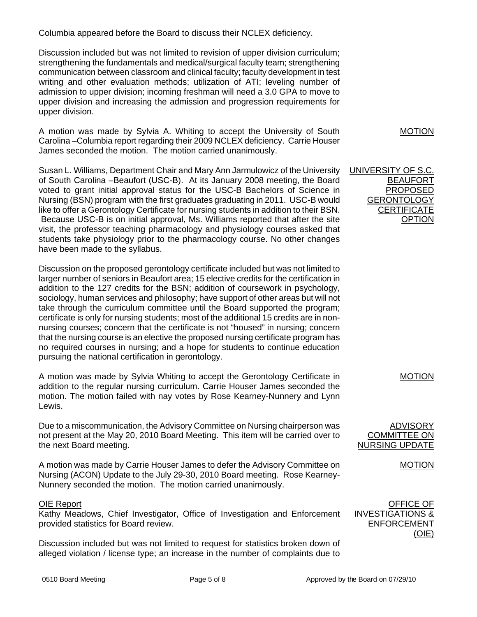Columbia appeared before the Board to discuss their NCLEX deficiency.

Discussion included but was not limited to revision of upper division curriculum; strengthening the fundamentals and medical/surgical faculty team; strengthening communication between classroom and clinical faculty; faculty development in test writing and other evaluation methods; utilization of ATI; leveling number of admission to upper division; incoming freshman will need a 3.0 GPA to move to upper division and increasing the admission and progression requirements for upper division.

A motion was made by Sylvia A. Whiting to accept the University of South Carolina –Columbia report regarding their 2009 NCLEX deficiency. Carrie Houser James seconded the motion. The motion carried unanimously.

Susan L. Williams, Department Chair and Mary Ann Jarmulowicz of the University of South Carolina –Beaufort (USC-B). At its January 2008 meeting, the Board voted to grant initial approval status for the USC-B Bachelors of Science in Nursing (BSN) program with the first graduates graduating in 2011. USC-B would like to offer a Gerontology Certificate for nursing students in addition to their BSN. Because USC-B is on initial approval, Ms. Williams reported that after the site visit, the professor teaching pharmacology and physiology courses asked that students take physiology prior to the pharmacology course. No other changes have been made to the syllabus.

Discussion on the proposed gerontology certificate included but was not limited to larger number of seniors in Beaufort area; 15 elective credits for the certification in addition to the 127 credits for the BSN; addition of coursework in psychology, sociology, human services and philosophy; have support of other areas but will not take through the curriculum committee until the Board supported the program; certificate is only for nursing students; most of the additional 15 credits are in nonnursing courses; concern that the certificate is not "housed" in nursing; concern that the nursing course is an elective the proposed nursing certificate program has no required courses in nursing; and a hope for students to continue education pursuing the national certification in gerontology.

A motion was made by Sylvia Whiting to accept the Gerontology Certificate in addition to the regular nursing curriculum. Carrie Houser James seconded the motion. The motion failed with nay votes by Rose Kearney-Nunnery and Lynn Lewis.

Due to a miscommunication, the Advisory Committee on Nursing chairperson was not present at the May 20, 2010 Board Meeting. This item will be carried over to the next Board meeting.

A motion was made by Carrie Houser James to defer the Advisory Committee on Nursing (ACON) Update to the July 29-30, 2010 Board meeting. Rose Kearney-Nunnery seconded the motion. The motion carried unanimously.

## OIE Report

Kathy Meadows, Chief Investigator, Office of Investigation and Enforcement provided statistics for Board review.

Discussion included but was not limited to request for statistics broken down of alleged violation / license type; an increase in the number of complaints due to MOTION

UNIVERSITY OF S.C. BEAUFORT PROPOSED **GERONTOLOGY CERTIFICATE** OPTION

MOTION

ADVISORY COMMITTEE ON **NURSING UPDATE**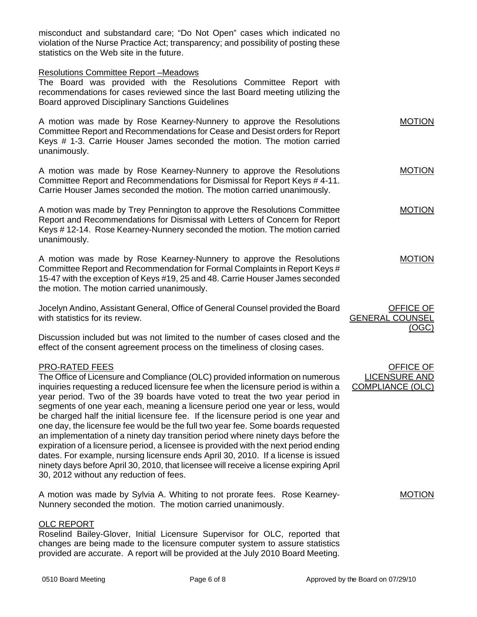misconduct and substandard care; "Do Not Open" cases which indicated no violation of the Nurse Practice Act; transparency; and possibility of posting these statistics on the Web site in the future.

#### Resolutions Committee Report –Meadows

The Board was provided with the Resolutions Committee Report with recommendations for cases reviewed since the last Board meeting utilizing the Board approved Disciplinary Sanctions Guidelines

A motion was made by Rose Kearney-Nunnery to approve the Resolutions Committee Report and Recommendations for Cease and Desist orders for Report Keys # 1-3. Carrie Houser James seconded the motion. The motion carried unanimously. MOTION

A motion was made by Rose Kearney-Nunnery to approve the Resolutions Committee Report and Recommendations for Dismissal for Report Keys # 4-11. Carrie Houser James seconded the motion. The motion carried unanimously. MOTION

A motion was made by Trey Pennington to approve the Resolutions Committee Report and Recommendations for Dismissal with Letters of Concern for Report Keys # 12-14. Rose Kearney-Nunnery seconded the motion. The motion carried unanimously.

A motion was made by Rose Kearney-Nunnery to approve the Resolutions Committee Report and Recommendation for Formal Complaints in Report Keys # 15-47 with the exception of Keys #19, 25 and 48. Carrie Houser James seconded the motion. The motion carried unanimously. MOTION

Jocelyn Andino, Assistant General, Office of General Counsel provided the Board with statistics for its review.

Discussion included but was not limited to the number of cases closed and the effect of the consent agreement process on the timeliness of closing cases.

## PRO-RATED FEES

The Office of Licensure and Compliance (OLC) provided information on numerous inquiries requesting a reduced licensure fee when the licensure period is within a year period. Two of the 39 boards have voted to treat the two year period in segments of one year each, meaning a licensure period one year or less, would be charged half the initial licensure fee. If the licensure period is one year and one day, the licensure fee would be the full two year fee. Some boards requested an implementation of a ninety day transition period where ninety days before the expiration of a licensure period, a licensee is provided with the next period ending dates. For example, nursing licensure ends April 30, 2010. If a license is issued ninety days before April 30, 2010, that licensee will receive a license expiring April 30, 2012 without any reduction of fees.

A motion was made by Sylvia A. Whiting to not prorate fees. Rose Kearney-Nunnery seconded the motion. The motion carried unanimously.

#### OLC REPORT

Roselind Bailey-Glover, Initial Licensure Supervisor for OLC, reported that changes are being made to the licensure computer system to assure statistics provided are accurate. A report will be provided at the July 2010 Board Meeting.

OFFICE OF LICENSURE AND COMPLIANCE (OLC)

GENERAL COUNSEL

MOTION

OFFICE OF

(OGC)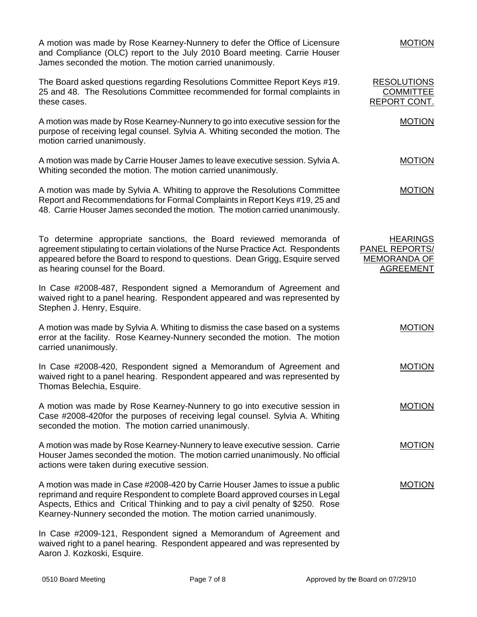A motion was made by Rose Kearney-Nunnery to defer the Office of Licensure and Compliance (OLC) report to the July 2010 Board meeting. Carrie Houser James seconded the motion. The motion carried unanimously.

The Board asked questions regarding Resolutions Committee Report Keys #19. 25 and 48. The Resolutions Committee recommended for formal complaints in these cases.

A motion was made by Rose Kearney-Nunnery to go into executive session for the purpose of receiving legal counsel. Sylvia A. Whiting seconded the motion. The motion carried unanimously.

A motion was made by Carrie Houser James to leave executive session. Sylvia A. Whiting seconded the motion. The motion carried unanimously.

A motion was made by Sylvia A. Whiting to approve the Resolutions Committee Report and Recommendations for Formal Complaints in Report Keys #19, 25 and 48. Carrie Houser James seconded the motion. The motion carried unanimously.

To determine appropriate sanctions, the Board reviewed memoranda of agreement stipulating to certain violations of the Nurse Practice Act. Respondents appeared before the Board to respond to questions. Dean Grigg, Esquire served as hearing counsel for the Board.

In Case #2008-487, Respondent signed a Memorandum of Agreement and waived right to a panel hearing. Respondent appeared and was represented by Stephen J. Henry, Esquire.

A motion was made by Sylvia A. Whiting to dismiss the case based on a systems error at the facility. Rose Kearney-Nunnery seconded the motion. The motion carried unanimously.

In Case #2008-420, Respondent signed a Memorandum of Agreement and waived right to a panel hearing. Respondent appeared and was represented by Thomas Belechia, Esquire.

A motion was made by Rose Kearney-Nunnery to go into executive session in Case #2008-420for the purposes of receiving legal counsel. Sylvia A. Whiting seconded the motion. The motion carried unanimously.

A motion was made by Rose Kearney-Nunnery to leave executive session. Carrie Houser James seconded the motion. The motion carried unanimously. No official actions were taken during executive session.

A motion was made in Case #2008-420 by Carrie Houser James to issue a public reprimand and require Respondent to complete Board approved courses in Legal Aspects, Ethics and Critical Thinking and to pay a civil penalty of \$250. Rose Kearney-Nunnery seconded the motion. The motion carried unanimously.

In Case #2009-121, Respondent signed a Memorandum of Agreement and waived right to a panel hearing. Respondent appeared and was represented by Aaron J. Kozkoski, Esquire.

#### MOTION

MOTION

MOTION

MOTION

**HEARINGS** 

MOTION

MOTION

MOTION

MOTION

MOTION

PANEL REPORTS/ MEMORANDA OF AGREEMENT

RESOLUTIONS **COMMITTEE** REPORT CONT.